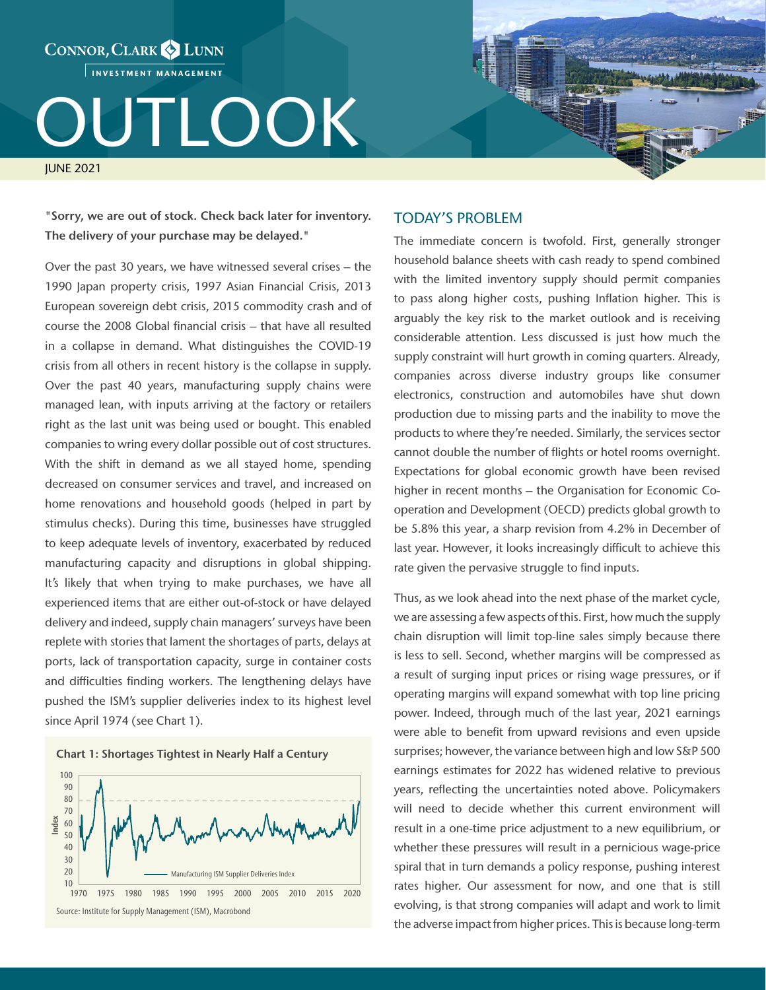INVESTMENT MANAGEMENT

CONNOR, CLARK & LUNN

# OUTLOOK

JUNE 2021

"Sorry, we are out of stock. Check back later for inventory. The delivery of your purchase may be delayed."

Over the past 30 years, we have witnessed several crises – the 1990 Japan property crisis, 1997 Asian Financial Crisis, 2013 European sovereign debt crisis, 2015 commodity crash and of course the 2008 Global financial crisis – that have all resulted in a collapse in demand. What distinguishes the COVID-19 crisis from all others in recent history is the collapse in supply. Over the past 40 years, manufacturing supply chains were managed lean, with inputs arriving at the factory or retailers right as the last unit was being used or bought. This enabled companies to wring every dollar possible out of cost structures. With the shift in demand as we all stayed home, spending decreased on consumer services and travel, and increased on home renovations and household goods (helped in part by stimulus checks). During this time, businesses have struggled to keep adequate levels of inventory, exacerbated by reduced manufacturing capacity and disruptions in global shipping. It's likely that when trying to make purchases, we have all experienced items that are either out-of-stock or have delayed delivery and indeed, supply chain managers' surveys have been replete with stories that lament the shortages of parts, delays at ports, lack of transportation capacity, surge in container costs and difficulties finding workers. The lengthening delays have pushed the ISM's supplier deliveries index to its highest level since April 1974 (see Chart 1).





## TODAY'S PROBLEM

The immediate concern is twofold. First, generally stronger household balance sheets with cash ready to spend combined with the limited inventory supply should permit companies to pass along higher costs, pushing Inflation higher. This is arguably the key risk to the market outlook and is receiving considerable attention. Less discussed is just how much the supply constraint will hurt growth in coming quarters. Already, companies across diverse industry groups like consumer electronics, construction and automobiles have shut down production due to missing parts and the inability to move the products to where they're needed. Similarly, the services sector cannot double the number of flights or hotel rooms overnight. Expectations for global economic growth have been revised higher in recent months – the Organisation for Economic Cooperation and Development (OECD) predicts global growth to be 5.8% this year, a sharp revision from 4.2% in December of last year. However, it looks increasingly difficult to achieve this rate given the pervasive struggle to find inputs.

Thus, as we look ahead into the next phase of the market cycle, we are assessing a few aspects of this. First, how much the supply chain disruption will limit top-line sales simply because there is less to sell. Second, whether margins will be compressed as a result of surging input prices or rising wage pressures, or if operating margins will expand somewhat with top line pricing power. Indeed, through much of the last year, 2021 earnings were able to benefit from upward revisions and even upside surprises; however, the variance between high and low S&P 500 earnings estimates for 2022 has widened relative to previous years, reflecting the uncertainties noted above. Policymakers will need to decide whether this current environment will result in a one-time price adjustment to a new equilibrium, or whether these pressures will result in a pernicious wage-price spiral that in turn demands a policy response, pushing interest rates higher. Our assessment for now, and one that is still evolving, is that strong companies will adapt and work to limit the adverse impact from higher prices. This is because long-term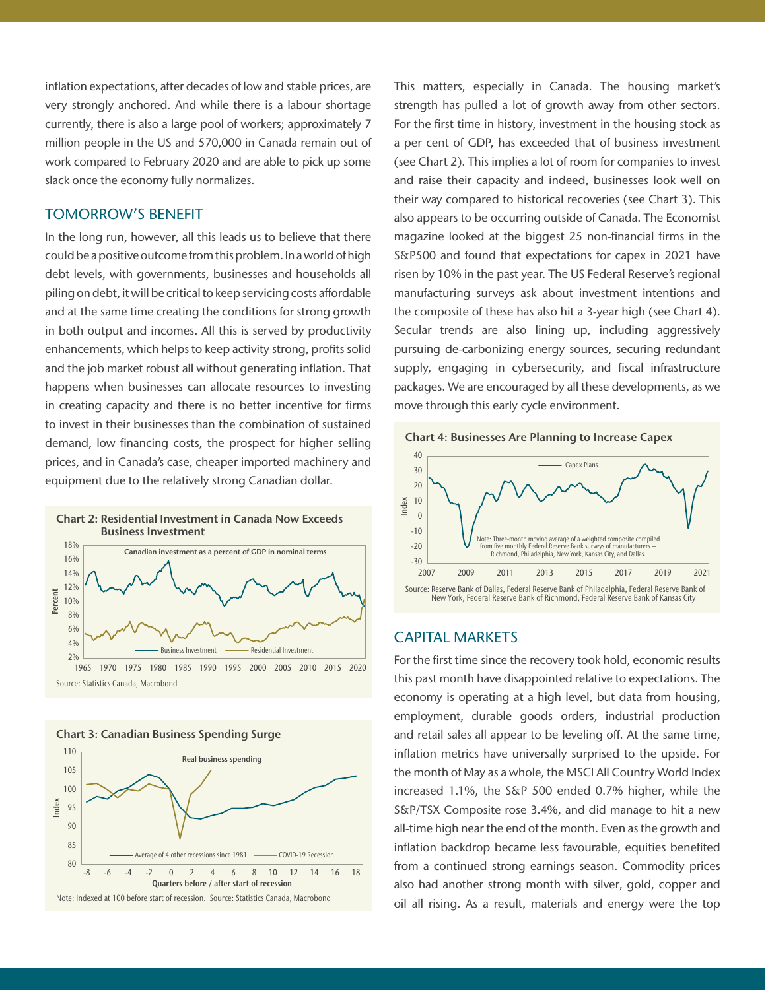inflation expectations, after decades of low and stable prices, are very strongly anchored. And while there is a labour shortage currently, there is also a large pool of workers; approximately 7 million people in the US and 570,000 in Canada remain out of work compared to February 2020 and are able to pick up some slack once the economy fully normalizes.

# TOMORROW'S BENEFIT

In the long run, however, all this leads us to believe that there could be a positive outcome from this problem. In a world of high debt levels, with governments, businesses and households all piling on debt, it will be critical to keep servicing costs affordable and at the same time creating the conditions for strong growth in both output and incomes. All this is served by productivity enhancements, which helps to keep activity strong, profits solid and the job market robust all without generating inflation. That happens when businesses can allocate resources to investing in creating capacity and there is no better incentive for firms to invest in their businesses than the combination of sustained demand, low financing costs, the prospect for higher selling prices, and in Canada's case, cheaper imported machinery and equipment due to the relatively strong Canadian dollar.





This matters, especially in Canada. The housing market's strength has pulled a lot of growth away from other sectors. For the first time in history, investment in the housing stock as a per cent of GDP, has exceeded that of business investment (see Chart 2). This implies a lot of room for companies to invest and raise their capacity and indeed, businesses look well on their way compared to historical recoveries (see Chart 3). This also appears to be occurring outside of Canada. The Economist magazine looked at the biggest 25 non-financial firms in the S&P500 and found that expectations for capex in 2021 have risen by 10% in the past year. The US Federal Reserve's regional manufacturing surveys ask about investment intentions and the composite of these has also hit a 3-year high (see Chart 4). Secular trends are also lining up, including aggressively pursuing de-carbonizing energy sources, securing redundant supply, engaging in cybersecurity, and fiscal infrastructure packages. We are encouraged by all these developments, as we move through this early cycle environment.





## CAPITAL MARKETS

For the first time since the recovery took hold, economic results this past month have disappointed relative to expectations. The economy is operating at a high level, but data from housing, employment, durable goods orders, industrial production and retail sales all appear to be leveling off. At the same time, inflation metrics have universally surprised to the upside. For the month of May as a whole, the MSCI All Country World Index increased 1.1%, the S&P 500 ended 0.7% higher, while the S&P/TSX Composite rose 3.4%, and did manage to hit a new all-time high near the end of the month. Even as the growth and inflation backdrop became less favourable, equities benefited from a continued strong earnings season. Commodity prices also had another strong month with silver, gold, copper and oil all rising. As a result, materials and energy were the top